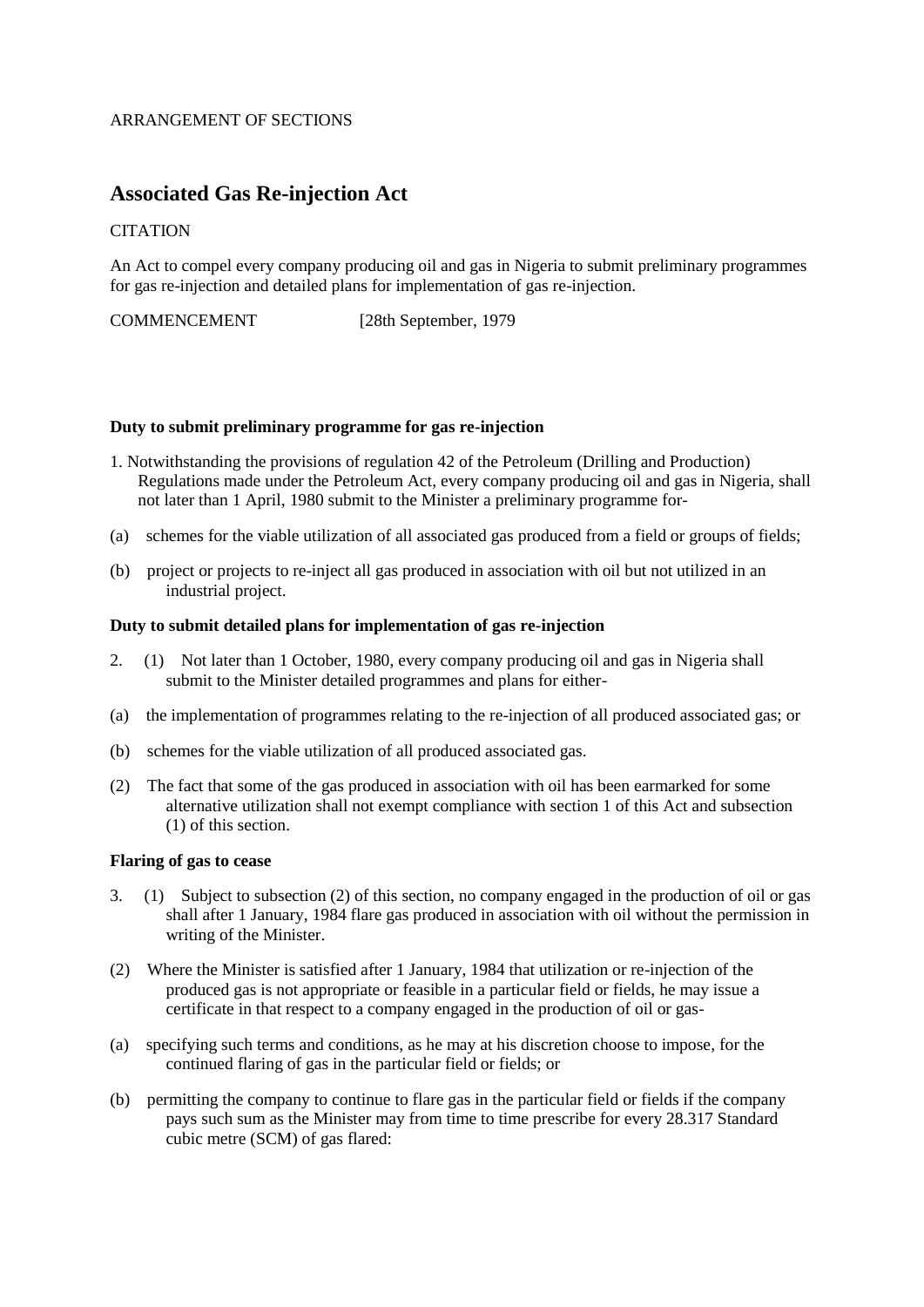## ARRANGEMENT OF SECTIONS

# **Associated Gas Re-injection Act**

## **CITATION**

An Act to compel every company producing oil and gas in Nigeria to submit preliminary programmes for gas re-injection and detailed plans for implementation of gas re-injection.

COMMENCEMENT [28th September, 1979

#### **Duty to submit preliminary programme for gas re-injection**

- 1. Notwithstanding the provisions of regulation 42 of the Petroleum (Drilling and Production) Regulations made under the Petroleum Act, every company producing oil and gas in Nigeria, shall not later than 1 April, 1980 submit to the Minister a preliminary programme for-
- (a) schemes for the viable utilization of all associated gas produced from a field or groups of fields;
- (b) project or projects to re-inject all gas produced in association with oil but not utilized in an industrial project.

#### **Duty to submit detailed plans for implementation of gas re-injection**

- 2. (1) Not later than 1 October, 1980, every company producing oil and gas in Nigeria shall submit to the Minister detailed programmes and plans for either-
- (a) the implementation of programmes relating to the re-injection of all produced associated gas; or
- (b) schemes for the viable utilization of all produced associated gas.
- (2) The fact that some of the gas produced in association with oil has been earmarked for some alternative utilization shall not exempt compliance with section 1 of this Act and subsection (1) of this section.

# **Flaring of gas to cease**

- 3. (1) Subject to subsection (2) of this section, no company engaged in the production of oil or gas shall after 1 January, 1984 flare gas produced in association with oil without the permission in writing of the Minister.
- (2) Where the Minister is satisfied after 1 January, 1984 that utilization or re-injection of the produced gas is not appropriate or feasible in a particular field or fields, he may issue a certificate in that respect to a company engaged in the production of oil or gas-
- (a) specifying such terms and conditions, as he may at his discretion choose to impose, for the continued flaring of gas in the particular field or fields; or
- (b) permitting the company to continue to flare gas in the particular field or fields if the company pays such sum as the Minister may from time to time prescribe for every 28.317 Standard cubic metre (SCM) of gas flared: